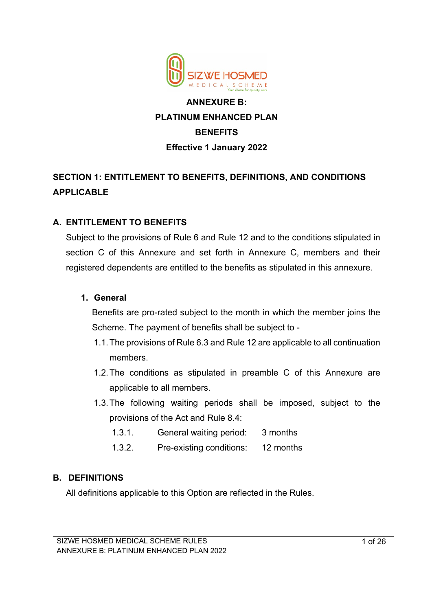

# **ANNEXURE B: PLATINUM ENHANCED PLAN BENEFITS Effective 1 January 2022**

# **SECTION 1: ENTITLEMENT TO BENEFITS, DEFINITIONS, AND CONDITIONS APPLICABLE**

## **A. ENTITLEMENT TO BENEFITS**

Subject to the provisions of Rule 6 and Rule 12 and to the conditions stipulated in section C of this Annexure and set forth in Annexure C, members and their registered dependents are entitled to the benefits as stipulated in this annexure.

#### **1. General**

Benefits are pro-rated subject to the month in which the member joins the Scheme. The payment of benefits shall be subject to -

- 1.1.The provisions of Rule 6.3 and Rule 12 are applicable to all continuation members.
- 1.2.The conditions as stipulated in preamble C of this Annexure are applicable to all members.
- 1.3.The following waiting periods shall be imposed, subject to the provisions of the Act and Rule 8.4:
	- 1.3.1. General waiting period: 3 months
	- 1.3.2. Pre-existing conditions: 12 months

### **B. DEFINITIONS**

All definitions applicable to this Option are reflected in the Rules.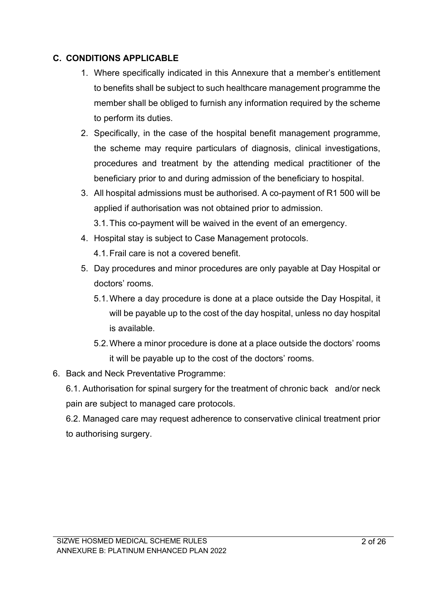## **C. CONDITIONS APPLICABLE**

- 1. Where specifically indicated in this Annexure that a member's entitlement to benefits shall be subject to such healthcare management programme the member shall be obliged to furnish any information required by the scheme to perform its duties.
- 2. Specifically, in the case of the hospital benefit management programme, the scheme may require particulars of diagnosis, clinical investigations, procedures and treatment by the attending medical practitioner of the beneficiary prior to and during admission of the beneficiary to hospital.
- 3. All hospital admissions must be authorised. A co-payment of R1 500 will be applied if authorisation was not obtained prior to admission.
	- 3.1.This co-payment will be waived in the event of an emergency.
- 4. Hospital stay is subject to Case Management protocols. 4.1.Frail care is not a covered benefit.
- 5. Day procedures and minor procedures are only payable at Day Hospital or doctors' rooms.
	- 5.1.Where a day procedure is done at a place outside the Day Hospital, it will be payable up to the cost of the day hospital, unless no day hospital is available.
	- 5.2.Where a minor procedure is done at a place outside the doctors' rooms it will be payable up to the cost of the doctors' rooms.

## 6. Back and Neck Preventative Programme:

6.1. Authorisation for spinal surgery for the treatment of chronic back and/or neck pain are subject to managed care protocols.

6.2. Managed care may request adherence to conservative clinical treatment prior to authorising surgery.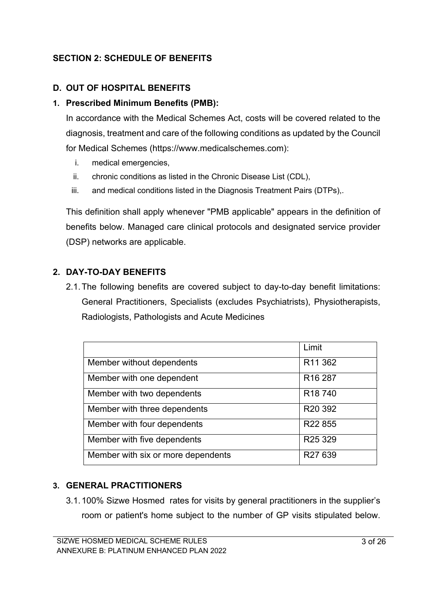## **SECTION 2: SCHEDULE OF BENEFITS**

#### **D. OUT OF HOSPITAL BENEFITS**

#### **1. Prescribed Minimum Benefits (PMB):**

In accordance with the Medical Schemes Act, costs will be covered related to the diagnosis, treatment and care of the following conditions as updated by the Council for Medical Schemes (https://www.medicalschemes.com):

- i. medical emergencies,
- ii. chronic conditions as listed in the Chronic Disease List (CDL),
- iii. and medical conditions listed in the Diagnosis Treatment Pairs (DTPs),.

This definition shall apply whenever "PMB applicable" appears in the definition of benefits below. Managed care clinical protocols and designated service provider (DSP) networks are applicable.

### **2. DAY-TO-DAY BENEFITS**

2.1.The following benefits are covered subject to day-to-day benefit limitations: General Practitioners, Specialists (excludes Psychiatrists), Physiotherapists, Radiologists, Pathologists and Acute Medicines

|                                    | Limit               |
|------------------------------------|---------------------|
| Member without dependents          | R <sub>11</sub> 362 |
| Member with one dependent          | R <sub>16</sub> 287 |
| Member with two dependents         | R <sub>18</sub> 740 |
| Member with three dependents       | R <sub>20</sub> 392 |
| Member with four dependents        | R22 855             |
| Member with five dependents        | R <sub>25</sub> 329 |
| Member with six or more dependents | R27 639             |

#### **3. GENERAL PRACTITIONERS**

3.1.100% Sizwe Hosmed rates for visits by general practitioners in the supplier's room or patient's home subject to the number of GP visits stipulated below.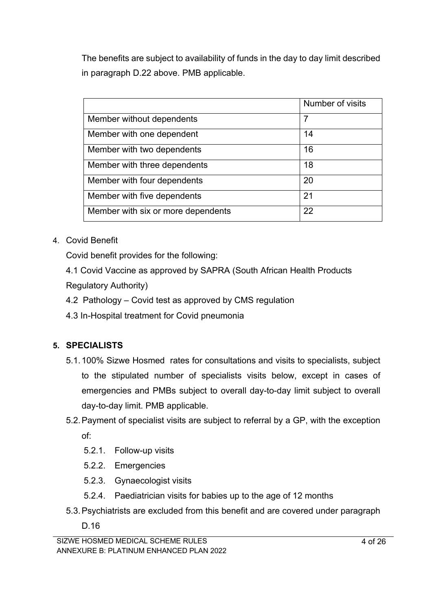The benefits are subject to availability of funds in the day to day limit described in paragraph D.22 above. PMB applicable.

|                                    | Number of visits |
|------------------------------------|------------------|
| Member without dependents          | 7                |
| Member with one dependent          | 14               |
| Member with two dependents         | 16               |
| Member with three dependents       | 18               |
| Member with four dependents        | 20               |
| Member with five dependents        | 21               |
| Member with six or more dependents | 22               |

## 4. Covid Benefit

Covid benefit provides for the following:

4.1 Covid Vaccine as approved by SAPRA (South African Health Products Regulatory Authority)

- 4.2 Pathology Covid test as approved by CMS regulation
- 4.3 In-Hospital treatment for Covid pneumonia

## **5. SPECIALISTS**

- 5.1.100% Sizwe Hosmed rates for consultations and visits to specialists, subject to the stipulated number of specialists visits below, except in cases of emergencies and PMBs subject to overall day-to-day limit subject to overall day-to-day limit. PMB applicable.
- 5.2.Payment of specialist visits are subject to referral by a GP, with the exception of:
	- 5.2.1. Follow-up visits
	- 5.2.2. Emergencies
	- 5.2.3. Gynaecologist visits
	- 5.2.4. Paediatrician visits for babies up to the age of 12 months
- 5.3.Psychiatrists are excluded from this benefit and are covered under paragraph
	- D.16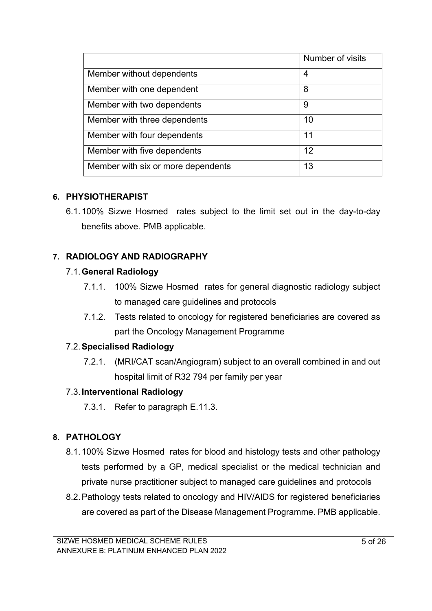|                                    | Number of visits |
|------------------------------------|------------------|
| Member without dependents          | 4                |
| Member with one dependent          | 8                |
| Member with two dependents         | 9                |
| Member with three dependents       | 10               |
| Member with four dependents        | 11               |
| Member with five dependents        | 12               |
| Member with six or more dependents | 13               |

### **6. PHYSIOTHERAPIST**

6.1.100% Sizwe Hosmed rates subject to the limit set out in the day-to-day benefits above. PMB applicable.

## **7. RADIOLOGY AND RADIOGRAPHY**

### 7.1.**General Radiology**

- 7.1.1. 100% Sizwe Hosmed rates for general diagnostic radiology subject to managed care guidelines and protocols
- 7.1.2. Tests related to oncology for registered beneficiaries are covered as part the Oncology Management Programme

### 7.2.**Specialised Radiology**

7.2.1. (MRI/CAT scan/Angiogram) subject to an overall combined in and out hospital limit of R32 794 per family per year

#### 7.3.**Interventional Radiology**

7.3.1. Refer to paragraph E.11.3.

## **8. PATHOLOGY**

- 8.1.100% Sizwe Hosmed rates for blood and histology tests and other pathology tests performed by a GP, medical specialist or the medical technician and private nurse practitioner subject to managed care guidelines and protocols
- 8.2.Pathology tests related to oncology and HIV/AIDS for registered beneficiaries are covered as part of the Disease Management Programme. PMB applicable.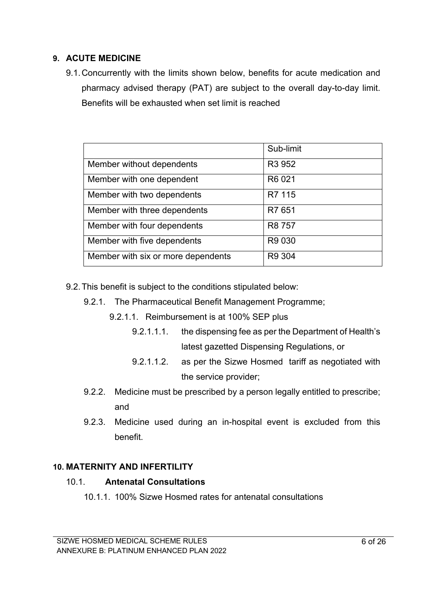#### **9. ACUTE MEDICINE**

9.1.Concurrently with the limits shown below, benefits for acute medication and pharmacy advised therapy (PAT) are subject to the overall day-to-day limit. Benefits will be exhausted when set limit is reached

|                                    | Sub-limit          |
|------------------------------------|--------------------|
| Member without dependents          | R <sub>3</sub> 952 |
| Member with one dependent          | R6 021             |
| Member with two dependents         | R7 115             |
| Member with three dependents       | R7 651             |
| Member with four dependents        | R8 757             |
| Member with five dependents        | R9 030             |
| Member with six or more dependents | R9 304             |

- 9.2.This benefit is subject to the conditions stipulated below:
	- 9.2.1. The Pharmaceutical Benefit Management Programme;
		- 9.2.1.1. Reimbursement is at 100% SEP plus
			- 9.2.1.1.1. the dispensing fee as per the Department of Health's latest gazetted Dispensing Regulations, or
			- 9.2.1.1.2. as per the Sizwe Hosmed tariff as negotiated with the service provider;
	- 9.2.2. Medicine must be prescribed by a person legally entitled to prescribe; and
	- 9.2.3. Medicine used during an in-hospital event is excluded from this benefit.

#### **10. MATERNITY AND INFERTILITY**

#### 10.1. **Antenatal Consultations**

10.1.1. 100% Sizwe Hosmed rates for antenatal consultations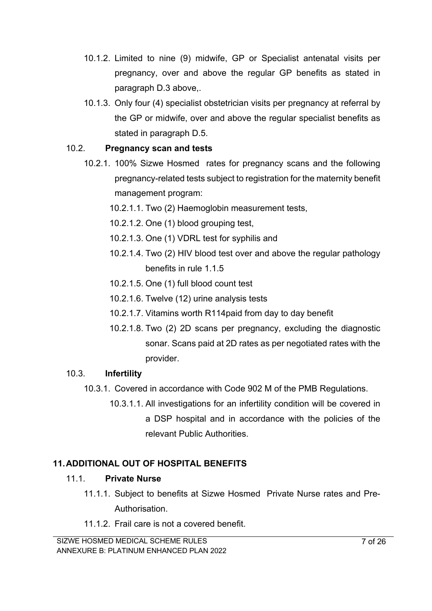- 10.1.2. Limited to nine (9) midwife, GP or Specialist antenatal visits per pregnancy, over and above the regular GP benefits as stated in paragraph D.3 above,.
- 10.1.3. Only four (4) specialist obstetrician visits per pregnancy at referral by the GP or midwife, over and above the regular specialist benefits as stated in paragraph D.5.

#### 10.2. **Pregnancy scan and tests**

- 10.2.1. 100% Sizwe Hosmed rates for pregnancy scans and the following pregnancy-related tests subject to registration for the maternity benefit management program:
	- 10.2.1.1. Two (2) Haemoglobin measurement tests,
	- 10.2.1.2. One (1) blood grouping test,
	- 10.2.1.3. One (1) VDRL test for syphilis and
	- 10.2.1.4. Two (2) HIV blood test over and above the regular pathology benefits in rule 1.1.5
	- 10.2.1.5. One (1) full blood count test
	- 10.2.1.6. Twelve (12) urine analysis tests
	- 10.2.1.7. Vitamins worth R114paid from day to day benefit
	- 10.2.1.8. Two (2) 2D scans per pregnancy, excluding the diagnostic sonar. Scans paid at 2D rates as per negotiated rates with the provider.

### 10.3. **Infertility**

- 10.3.1. Covered in accordance with Code 902 M of the PMB Regulations.
	- 10.3.1.1. All investigations for an infertility condition will be covered in a DSP hospital and in accordance with the policies of the relevant Public Authorities.

### **11.ADDITIONAL OUT OF HOSPITAL BENEFITS**

#### 11.1. **Private Nurse**

- 11.1.1. Subject to benefits at Sizwe Hosmed Private Nurse rates and Pre-Authorisation.
- 11.1.2. Frail care is not a covered benefit.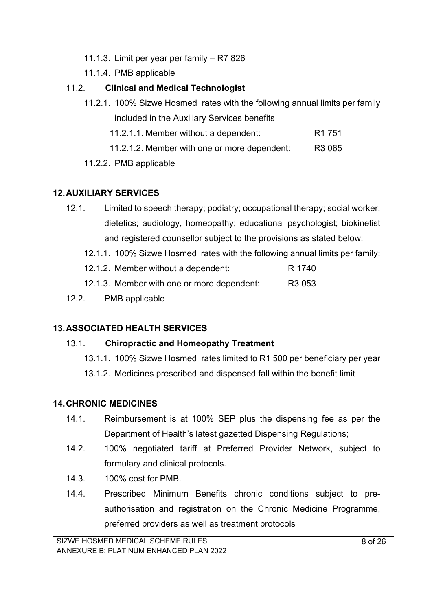- 11.1.3. Limit per year per family R7 826
- 11.1.4. PMB applicable

## 11.2. **Clinical and Medical Technologist**

- 11.2.1. 100% Sizwe Hosmed rates with the following annual limits per family included in the Auxiliary Services benefits
	- 11.2.1.1. Member without a dependent: R1 751
	- 11.2.1.2. Member with one or more dependent: R3 065
- 11.2.2. PMB applicable

## **12.AUXILIARY SERVICES**

- 12.1. Limited to speech therapy; podiatry; occupational therapy; social worker; dietetics; audiology, homeopathy; educational psychologist; biokinetist and registered counsellor subject to the provisions as stated below:
	- 12.1.1. 100% Sizwe Hosmed rates with the following annual limits per family:

| 12.1.2. Member without a dependent:        | R 1740             |
|--------------------------------------------|--------------------|
| 12.1.3. Member with one or more dependent: | R <sub>3</sub> 053 |

12.2. PMB applicable

## **13.ASSOCIATED HEALTH SERVICES**

## 13.1. **Chiropractic and Homeopathy Treatment**

- 13.1.1. 100% Sizwe Hosmed rates limited to R1 500 per beneficiary per year
- 13.1.2. Medicines prescribed and dispensed fall within the benefit limit

## **14.CHRONIC MEDICINES**

- 14.1. Reimbursement is at 100% SEP plus the dispensing fee as per the Department of Health's latest gazetted Dispensing Regulations;
- 14.2. 100% negotiated tariff at Preferred Provider Network, subject to formulary and clinical protocols.
- 14.3. 100% cost for PMB.
- 14.4. Prescribed Minimum Benefits chronic conditions subject to preauthorisation and registration on the Chronic Medicine Programme, preferred providers as well as treatment protocols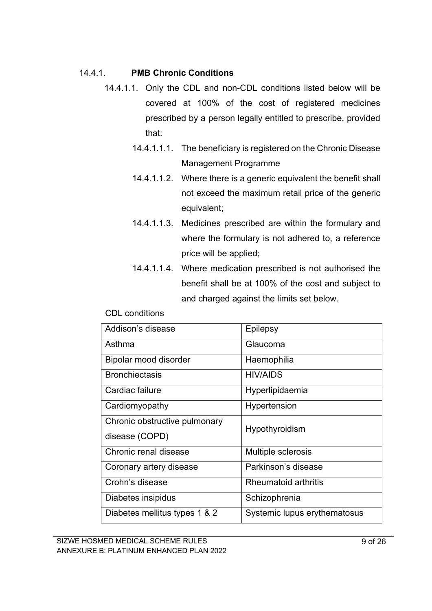#### 14.4.1. **PMB Chronic Conditions**

- 14.4.1.1. Only the CDL and non-CDL conditions listed below will be covered at 100% of the cost of registered medicines prescribed by a person legally entitled to prescribe, provided that:
	- 14.4.1.1.1. The beneficiary is registered on the Chronic Disease Management Programme
	- 14.4.1.1.2. Where there is a generic equivalent the benefit shall not exceed the maximum retail price of the generic equivalent;
	- 14.4.1.1.3. Medicines prescribed are within the formulary and where the formulary is not adhered to, a reference price will be applied;
	- 14.4.1.1.4. Where medication prescribed is not authorised the benefit shall be at 100% of the cost and subject to and charged against the limits set below.

| Addison's disease             | <b>Epilepsy</b>              |
|-------------------------------|------------------------------|
| Asthma                        | Glaucoma                     |
| Bipolar mood disorder         | Haemophilia                  |
| <b>Bronchiectasis</b>         | <b>HIV/AIDS</b>              |
| Cardiac failure               | Hyperlipidaemia              |
| Cardiomyopathy                | Hypertension                 |
| Chronic obstructive pulmonary | Hypothyroidism               |
| disease (COPD)                |                              |
| Chronic renal disease         | Multiple sclerosis           |
| Coronary artery disease       | Parkinson's disease          |
| Crohn's disease               | Rheumatoid arthritis         |
| Diabetes insipidus            | Schizophrenia                |
| Diabetes mellitus types 1 & 2 | Systemic lupus erythematosus |

#### CDL conditions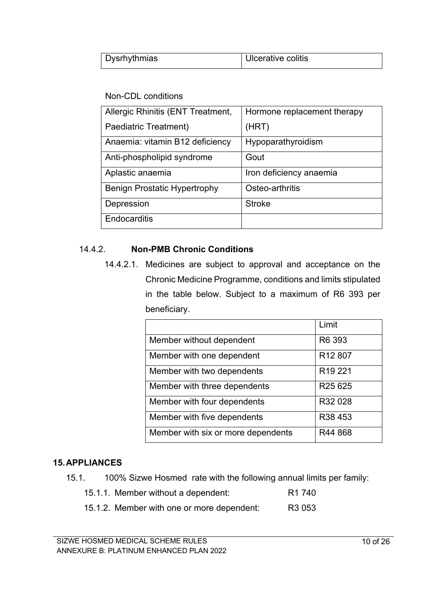| Dysrhythmias | Ulcerative colitis |
|--------------|--------------------|

#### Non-CDL conditions

| Allergic Rhinitis (ENT Treatment,   | Hormone replacement therapy |
|-------------------------------------|-----------------------------|
| Paediatric Treatment)               | (HRT)                       |
| Anaemia: vitamin B12 deficiency     | Hypoparathyroidism          |
| Anti-phospholipid syndrome          | Gout                        |
| Aplastic anaemia                    | Iron deficiency anaemia     |
| <b>Benign Prostatic Hypertrophy</b> | Osteo-arthritis             |
| Depression                          | <b>Stroke</b>               |
| Endocarditis                        |                             |

#### 14.4.2. **Non-PMB Chronic Conditions**

14.4.2.1. Medicines are subject to approval and acceptance on the Chronic Medicine Programme, conditions and limits stipulated in the table below. Subject to a maximum of R6 393 per beneficiary.

|                                    | Limit                           |
|------------------------------------|---------------------------------|
| Member without dependent           | R <sub>6</sub> 393              |
| Member with one dependent          | R12 807                         |
| Member with two dependents         | R <sub>19</sub> 221             |
| Member with three dependents       | R <sub>25</sub> 6 <sub>25</sub> |
| Member with four dependents        | R32 028                         |
| Member with five dependents        | R <sub>3</sub> 8453             |
| Member with six or more dependents | R44 868                         |

### **15.APPLIANCES**

15.1. 100% Sizwe Hosmed rate with the following annual limits per family:

| 15.1.1. Member without a dependent:        | R <sub>1</sub> 740 |
|--------------------------------------------|--------------------|
| 15.1.2. Member with one or more dependent: | R <sub>3</sub> 053 |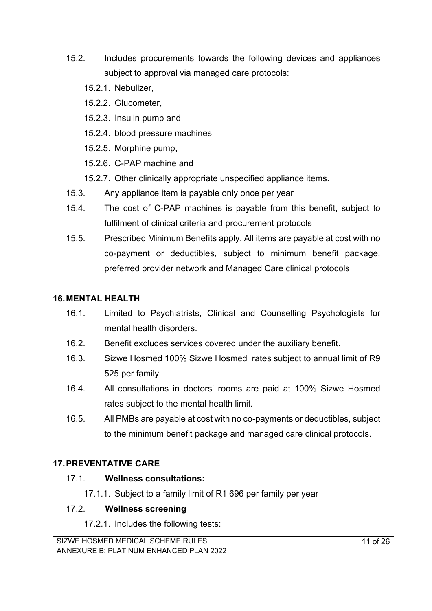- 15.2. Includes procurements towards the following devices and appliances subject to approval via managed care protocols:
	- 15.2.1. Nebulizer,
	- 15.2.2. Glucometer,
	- 15.2.3. Insulin pump and
	- 15.2.4. blood pressure machines
	- 15.2.5. Morphine pump,
	- 15.2.6. C-PAP machine and
	- 15.2.7. Other clinically appropriate unspecified appliance items.
- 15.3. Any appliance item is payable only once per year
- 15.4. The cost of C-PAP machines is payable from this benefit, subject to fulfilment of clinical criteria and procurement protocols
- 15.5. Prescribed Minimum Benefits apply. All items are payable at cost with no co-payment or deductibles, subject to minimum benefit package, preferred provider network and Managed Care clinical protocols

### **16.MENTAL HEALTH**

- 16.1. Limited to Psychiatrists, Clinical and Counselling Psychologists for mental health disorders.
- 16.2. Benefit excludes services covered under the auxiliary benefit.
- 16.3. Sizwe Hosmed 100% Sizwe Hosmed rates subject to annual limit of R9 525 per family
- 16.4. All consultations in doctors' rooms are paid at 100% Sizwe Hosmed rates subject to the mental health limit.
- 16.5. All PMBs are payable at cost with no co-payments or deductibles, subject to the minimum benefit package and managed care clinical protocols.

## **17.PREVENTATIVE CARE**

### 17.1. **Wellness consultations:**

17.1.1. Subject to a family limit of R1 696 per family per year

### 17.2. **Wellness screening**

17.2.1. Includes the following tests: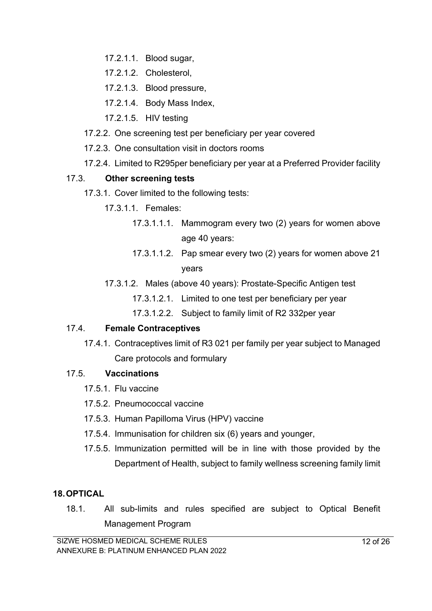- 17.2.1.1. Blood sugar,
- 17.2.1.2. Cholesterol,
- 17.2.1.3. Blood pressure,
- 17.2.1.4. Body Mass Index,
- 17.2.1.5. HIV testing
- 17.2.2. One screening test per beneficiary per year covered
- 17.2.3. One consultation visit in doctors rooms
- 17.2.4. Limited to R295per beneficiary per year at a Preferred Provider facility

#### 17.3. **Other screening tests**

- 17.3.1. Cover limited to the following tests:
	- 17.3.1.1. Females:
		- 17.3.1.1.1. Mammogram every two (2) years for women above age 40 years:
		- 17.3.1.1.2. Pap smear every two (2) years for women above 21 years
	- 17.3.1.2. Males (above 40 years): Prostate-Specific Antigen test
		- 17.3.1.2.1. Limited to one test per beneficiary per year
		- 17.3.1.2.2. Subject to family limit of R2 332per year

### 17.4. **Female Contraceptives**

17.4.1. Contraceptives limit of R3 021 per family per year subject to Managed Care protocols and formulary

### 17.5. **Vaccinations**

- 17.5.1. Flu vaccine
- 17.5.2. Pneumococcal vaccine
- 17.5.3. Human Papilloma Virus (HPV) vaccine
- 17.5.4. Immunisation for children six (6) years and younger,
- 17.5.5. Immunization permitted will be in line with those provided by the Department of Health, subject to family wellness screening family limit

#### **18.OPTICAL**

18.1. All sub-limits and rules specified are subject to Optical Benefit Management Program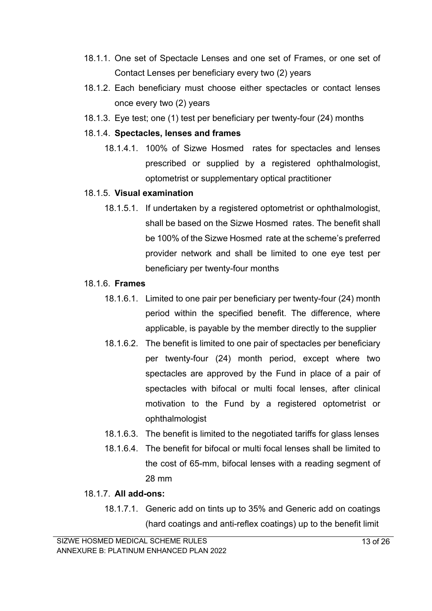- 18.1.1. One set of Spectacle Lenses and one set of Frames, or one set of Contact Lenses per beneficiary every two (2) years
- 18.1.2. Each beneficiary must choose either spectacles or contact lenses once every two (2) years
- 18.1.3. Eye test; one (1) test per beneficiary per twenty-four (24) months

#### 18.1.4. **Spectacles, lenses and frames**

18.1.4.1. 100% of Sizwe Hosmed rates for spectacles and lenses prescribed or supplied by a registered ophthalmologist, optometrist or supplementary optical practitioner

#### 18.1.5. **Visual examination**

18.1.5.1. If undertaken by a registered optometrist or ophthalmologist, shall be based on the Sizwe Hosmed rates. The benefit shall be 100% of the Sizwe Hosmed rate at the scheme's preferred provider network and shall be limited to one eye test per beneficiary per twenty-four months

#### 18.1.6. **Frames**

- 18.1.6.1. Limited to one pair per beneficiary per twenty-four (24) month period within the specified benefit. The difference, where applicable, is payable by the member directly to the supplier
- 18.1.6.2. The benefit is limited to one pair of spectacles per beneficiary per twenty-four (24) month period, except where two spectacles are approved by the Fund in place of a pair of spectacles with bifocal or multi focal lenses, after clinical motivation to the Fund by a registered optometrist or ophthalmologist
- 18.1.6.3. The benefit is limited to the negotiated tariffs for glass lenses
- 18.1.6.4. The benefit for bifocal or multi focal lenses shall be limited to the cost of 65-mm, bifocal lenses with a reading segment of 28 mm

#### 18.1.7. **All add-ons:**

18.1.7.1. Generic add on tints up to 35% and Generic add on coatings (hard coatings and anti-reflex coatings) up to the benefit limit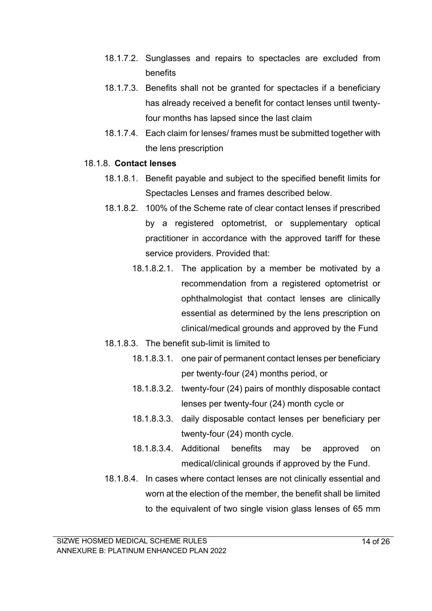- 18.1.7.2. Sunglasses and repairs to spectacles are excluded from benefits
- 18.1.7.3. Benefits shall not be granted for spectacles if a beneficiary has already received a benefit for contact lenses until twentyfour months has lapsed since the last claim
- 18.1.7.4. Each claim for lenses/ frames must be submitted together with the lens prescription

#### 18.1.8. **Contact lenses**

- 18.1.8.1. Benefit payable and subject to the specified benefit limits for Spectacles Lenses and frames described below.
- 18.1.8.2. 100% of the Scheme rate of clear contact lenses if prescribed by a registered optometrist, or supplementary optical practitioner in accordance with the approved tariff for these service providers. Provided that:
	- 18.1.8.2.1. The application by a member be motivated by a recommendation from a registered optometrist or ophthalmologist that contact lenses are clinically essential as determined by the lens prescription on clinical/medical grounds and approved by the Fund
- 18.1.8.3. The benefit sub-limit is limited to
	- 18.1.8.3.1. one pair of permanent contact lenses per beneficiary per twenty-four (24) months period, or
	- 18.1.8.3.2. twenty-four (24) pairs of monthly disposable contact lenses per twenty-four (24) month cycle or
	- 18.1.8.3.3. daily disposable contact lenses per beneficiary per twenty-four (24) month cycle.
	- 18.1.8.3.4. Additional benefits may be approved on medical/clinical grounds if approved by the Fund.
- 18.1.8.4. In cases where contact lenses are not clinically essential and worn at the election of the member, the benefit shall be limited to the equivalent of two single vision glass lenses of 65 mm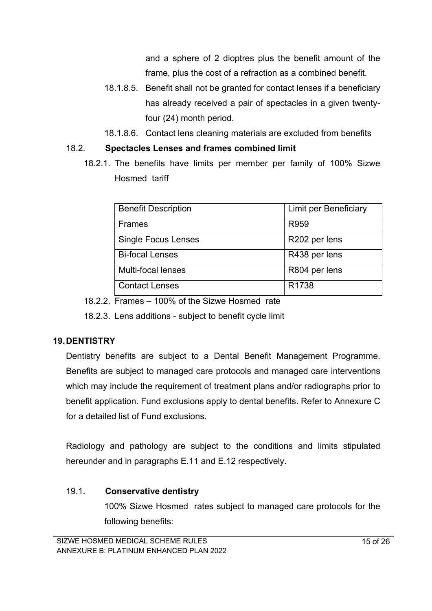and a sphere of 2 dioptres plus the benefit amount of the frame, plus the cost of a refraction as a combined benefit.

- 18.1.8.5. Benefit shall not be granted for contact lenses if a beneficiary has already received a pair of spectacles in a given twentyfour (24) month period.
- 18.1.8.6. Contact lens cleaning materials are excluded from benefits

#### 18.2. **Spectacles Lenses and frames combined limit**

18.2.1. The benefits have limits per member per family of 100% Sizwe Hosmed tariff

| <b>Benefit Description</b> | <b>Limit per Beneficiary</b> |
|----------------------------|------------------------------|
| <b>Frames</b>              | R959                         |
| <b>Single Focus Lenses</b> | R202 per lens                |
| <b>Bi-focal Lenses</b>     | R438 per lens                |
| Multi-focal lenses         | R804 per lens                |
| <b>Contact Lenses</b>      | R <sub>1738</sub>            |

18.2.2. Frames – 100% of the Sizwe Hosmed rate

18.2.3. Lens additions - subject to benefit cycle limit

### **19.DENTISTRY**

Dentistry benefits are subject to a Dental Benefit Management Programme. Benefits are subject to managed care protocols and managed care interventions which may include the requirement of treatment plans and/or radiographs prior to benefit application. Fund exclusions apply to dental benefits. Refer to Annexure C for a detailed list of Fund exclusions.

Radiology and pathology are subject to the conditions and limits stipulated hereunder and in paragraphs E.11 and E.12 respectively.

### 19.1. **Conservative dentistry**

100% Sizwe Hosmed rates subject to managed care protocols for the following benefits: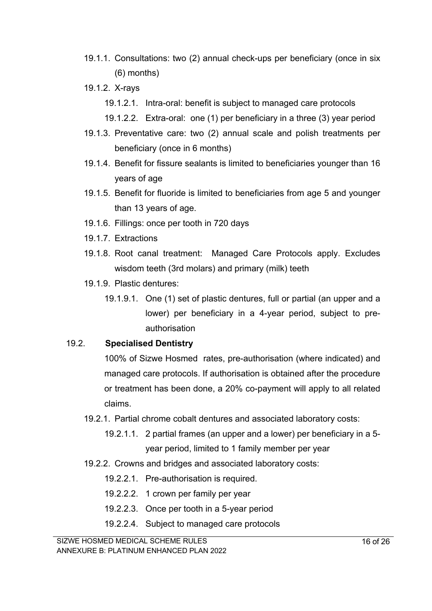- 19.1.1. Consultations: two (2) annual check-ups per beneficiary (once in six (6) months)
- 19.1.2. X-rays
	- 19.1.2.1. Intra-oral: benefit is subject to managed care protocols
	- 19.1.2.2. Extra-oral: one (1) per beneficiary in a three (3) year period
- 19.1.3. Preventative care: two (2) annual scale and polish treatments per beneficiary (once in 6 months)
- 19.1.4. Benefit for fissure sealants is limited to beneficiaries younger than 16 years of age
- 19.1.5. Benefit for fluoride is limited to beneficiaries from age 5 and younger than 13 years of age.
- 19.1.6. Fillings: once per tooth in 720 days
- 19.1.7. Extractions
- 19.1.8. Root canal treatment: Managed Care Protocols apply. Excludes wisdom teeth (3rd molars) and primary (milk) teeth
- 19.1.9. Plastic dentures:
	- 19.1.9.1. One (1) set of plastic dentures, full or partial (an upper and a lower) per beneficiary in a 4-year period, subject to preauthorisation

### 19.2. **Specialised Dentistry**

100% of Sizwe Hosmed rates, pre-authorisation (where indicated) and managed care protocols. If authorisation is obtained after the procedure or treatment has been done, a 20% co-payment will apply to all related claims.

- 19.2.1. Partial chrome cobalt dentures and associated laboratory costs:
	- 19.2.1.1. 2 partial frames (an upper and a lower) per beneficiary in a 5 year period, limited to 1 family member per year
- 19.2.2. Crowns and bridges and associated laboratory costs:
	- 19.2.2.1. Pre-authorisation is required.
	- 19.2.2.2. 1 crown per family per year
	- 19.2.2.3. Once per tooth in a 5-year period
	- 19.2.2.4. Subject to managed care protocols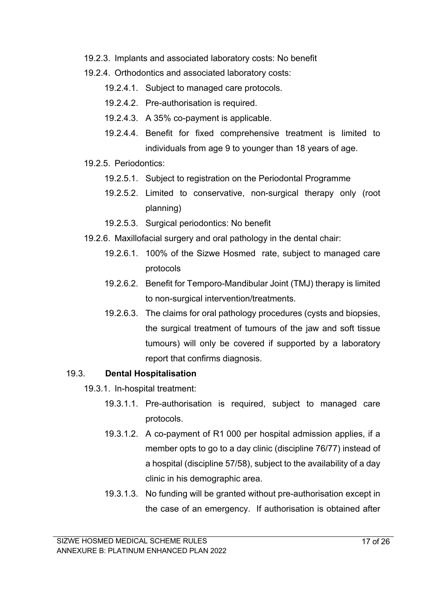- 19.2.3. Implants and associated laboratory costs: No benefit
- 19.2.4. Orthodontics and associated laboratory costs:
	- 19.2.4.1. Subject to managed care protocols.
	- 19.2.4.2. Pre-authorisation is required.
	- 19.2.4.3. A 35% co-payment is applicable.
	- 19.2.4.4. Benefit for fixed comprehensive treatment is limited to individuals from age 9 to younger than 18 years of age.
- 19.2.5. Periodontics:
	- 19.2.5.1. Subject to registration on the Periodontal Programme
	- 19.2.5.2. Limited to conservative, non-surgical therapy only (root planning)
	- 19.2.5.3. Surgical periodontics: No benefit
- 19.2.6. Maxillofacial surgery and oral pathology in the dental chair:
	- 19.2.6.1. 100% of the Sizwe Hosmed rate, subject to managed care protocols
	- 19.2.6.2. Benefit for Temporo-Mandibular Joint (TMJ) therapy is limited to non-surgical intervention/treatments.
	- 19.2.6.3. The claims for oral pathology procedures (cysts and biopsies, the surgical treatment of tumours of the jaw and soft tissue tumours) will only be covered if supported by a laboratory report that confirms diagnosis.

### 19.3. **Dental Hospitalisation**

- 19.3.1. In-hospital treatment:
	- 19.3.1.1. Pre-authorisation is required, subject to managed care protocols.
	- 19.3.1.2. A co-payment of R1 000 per hospital admission applies, if a member opts to go to a day clinic (discipline 76/77) instead of a hospital (discipline 57/58), subject to the availability of a day clinic in his demographic area.
	- 19.3.1.3. No funding will be granted without pre-authorisation except in the case of an emergency. If authorisation is obtained after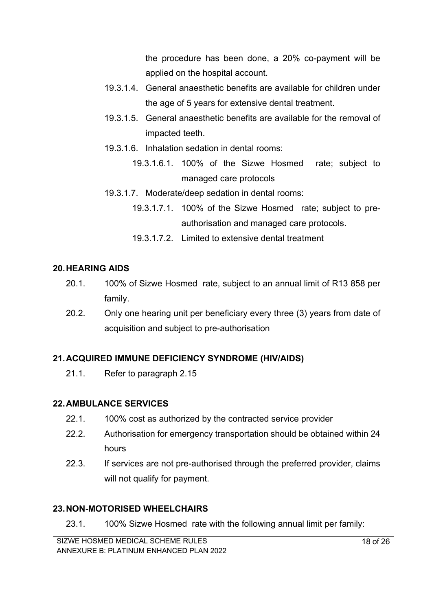the procedure has been done, a 20% co-payment will be applied on the hospital account.

- 19.3.1.4. General anaesthetic benefits are available for children under the age of 5 years for extensive dental treatment.
- 19.3.1.5. General anaesthetic benefits are available for the removal of impacted teeth.
- 19.3.1.6. Inhalation sedation in dental rooms:
	- 19.3.1.6.1. 100% of the Sizwe Hosmed rate; subject to managed care protocols
- 19.3.1.7. Moderate/deep sedation in dental rooms:
	- 19.3.1.7.1. 100% of the Sizwe Hosmed rate; subject to preauthorisation and managed care protocols.
	- 19.3.1.7.2. Limited to extensive dental treatment

### **20.HEARING AIDS**

- 20.1. 100% of Sizwe Hosmed rate, subject to an annual limit of R13 858 per family.
- 20.2. Only one hearing unit per beneficiary every three (3) years from date of acquisition and subject to pre-authorisation

### **21.ACQUIRED IMMUNE DEFICIENCY SYNDROME (HIV/AIDS)**

21.1. Refer to paragraph 2.15

### **22.AMBULANCE SERVICES**

- 22.1. 100% cost as authorized by the contracted service provider
- 22.2. Authorisation for emergency transportation should be obtained within 24 hours
- 22.3. If services are not pre-authorised through the preferred provider, claims will not qualify for payment.

## **23.NON-MOTORISED WHEELCHAIRS**

23.1. 100% Sizwe Hosmed rate with the following annual limit per family: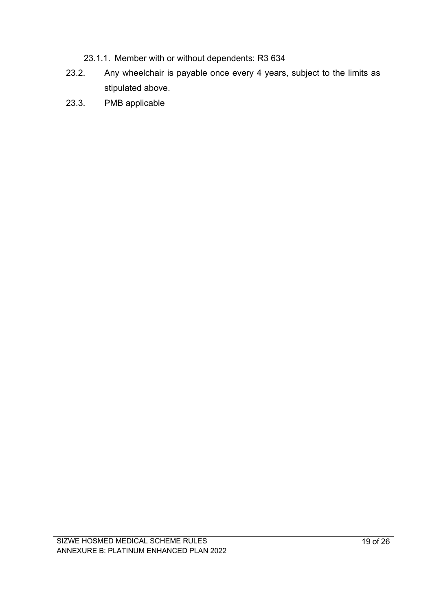- 23.1.1. Member with or without dependents: R3 634
- 23.2. Any wheelchair is payable once every 4 years, subject to the limits as stipulated above.
- 23.3. PMB applicable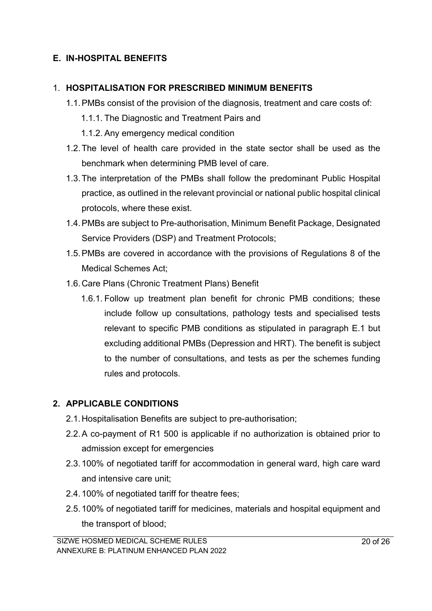## **E. IN-HOSPITAL BENEFITS**

#### 1. **HOSPITALISATION FOR PRESCRIBED MINIMUM BENEFITS**

- 1.1.PMBs consist of the provision of the diagnosis, treatment and care costs of:
	- 1.1.1. The Diagnostic and Treatment Pairs and
	- 1.1.2. Any emergency medical condition
- 1.2.The level of health care provided in the state sector shall be used as the benchmark when determining PMB level of care.
- 1.3.The interpretation of the PMBs shall follow the predominant Public Hospital practice, as outlined in the relevant provincial or national public hospital clinical protocols, where these exist.
- 1.4.PMBs are subject to Pre-authorisation, Minimum Benefit Package, Designated Service Providers (DSP) and Treatment Protocols;
- 1.5.PMBs are covered in accordance with the provisions of Regulations 8 of the Medical Schemes Act;
- 1.6.Care Plans (Chronic Treatment Plans) Benefit
	- 1.6.1. Follow up treatment plan benefit for chronic PMB conditions; these include follow up consultations, pathology tests and specialised tests relevant to specific PMB conditions as stipulated in paragraph E.1 but excluding additional PMBs (Depression and HRT). The benefit is subject to the number of consultations, and tests as per the schemes funding rules and protocols.

### **2. APPLICABLE CONDITIONS**

- 2.1.Hospitalisation Benefits are subject to pre-authorisation;
- 2.2.A co-payment of R1 500 is applicable if no authorization is obtained prior to admission except for emergencies
- 2.3.100% of negotiated tariff for accommodation in general ward, high care ward and intensive care unit;
- 2.4.100% of negotiated tariff for theatre fees;
- 2.5.100% of negotiated tariff for medicines, materials and hospital equipment and the transport of blood;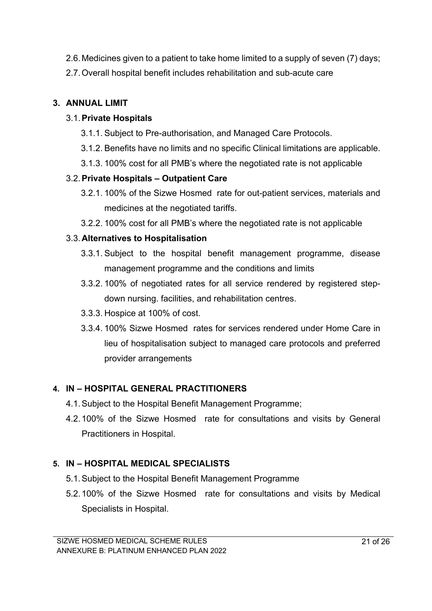- 2.6.Medicines given to a patient to take home limited to a supply of seven (7) days;
- 2.7.Overall hospital benefit includes rehabilitation and sub-acute care

## **3. ANNUAL LIMIT**

### 3.1.**Private Hospitals**

- 3.1.1. Subject to Pre-authorisation, and Managed Care Protocols.
- 3.1.2. Benefits have no limits and no specific Clinical limitations are applicable.
- 3.1.3. 100% cost for all PMB's where the negotiated rate is not applicable

## 3.2.**Private Hospitals – Outpatient Care**

- 3.2.1. 100% of the Sizwe Hosmed rate for out-patient services, materials and medicines at the negotiated tariffs.
- 3.2.2. 100% cost for all PMB's where the negotiated rate is not applicable

## 3.3.**Alternatives to Hospitalisation**

- 3.3.1. Subject to the hospital benefit management programme, disease management programme and the conditions and limits
- 3.3.2. 100% of negotiated rates for all service rendered by registered stepdown nursing. facilities, and rehabilitation centres.
- 3.3.3. Hospice at 100% of cost.
- 3.3.4. 100% Sizwe Hosmed rates for services rendered under Home Care in lieu of hospitalisation subject to managed care protocols and preferred provider arrangements

## **4. IN – HOSPITAL GENERAL PRACTITIONERS**

- 4.1.Subject to the Hospital Benefit Management Programme;
- 4.2.100% of the Sizwe Hosmed rate for consultations and visits by General Practitioners in Hospital.

## **5. IN – HOSPITAL MEDICAL SPECIALISTS**

- 5.1.Subject to the Hospital Benefit Management Programme
- 5.2.100% of the Sizwe Hosmed rate for consultations and visits by Medical Specialists in Hospital.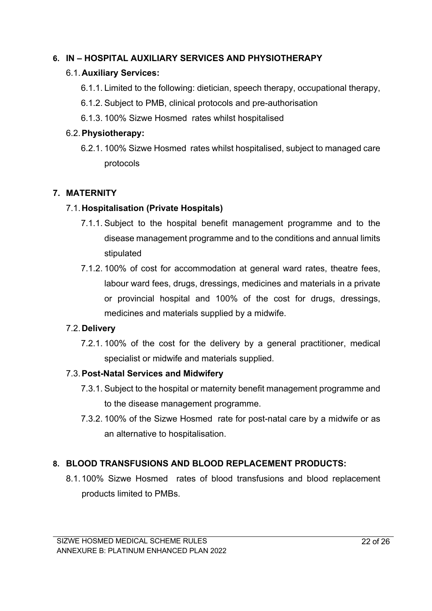#### **6. IN – HOSPITAL AUXILIARY SERVICES AND PHYSIOTHERAPY**

#### 6.1.**Auxiliary Services:**

- 6.1.1. Limited to the following: dietician, speech therapy, occupational therapy,
- 6.1.2. Subject to PMB, clinical protocols and pre-authorisation
- 6.1.3. 100% Sizwe Hosmed rates whilst hospitalised

#### 6.2.**Physiotherapy:**

6.2.1. 100% Sizwe Hosmed rates whilst hospitalised, subject to managed care protocols

### **7. MATERNITY**

#### 7.1.**Hospitalisation (Private Hospitals)**

- 7.1.1. Subject to the hospital benefit management programme and to the disease management programme and to the conditions and annual limits stipulated
- 7.1.2. 100% of cost for accommodation at general ward rates, theatre fees, labour ward fees, drugs, dressings, medicines and materials in a private or provincial hospital and 100% of the cost for drugs, dressings, medicines and materials supplied by a midwife.

#### 7.2.**Delivery**

7.2.1. 100% of the cost for the delivery by a general practitioner, medical specialist or midwife and materials supplied.

### 7.3.**Post-Natal Services and Midwifery**

- 7.3.1. Subject to the hospital or maternity benefit management programme and to the disease management programme.
- 7.3.2. 100% of the Sizwe Hosmed rate for post-natal care by a midwife or as an alternative to hospitalisation.

## **8. BLOOD TRANSFUSIONS AND BLOOD REPLACEMENT PRODUCTS:**

8.1.100% Sizwe Hosmed rates of blood transfusions and blood replacement products limited to PMBs.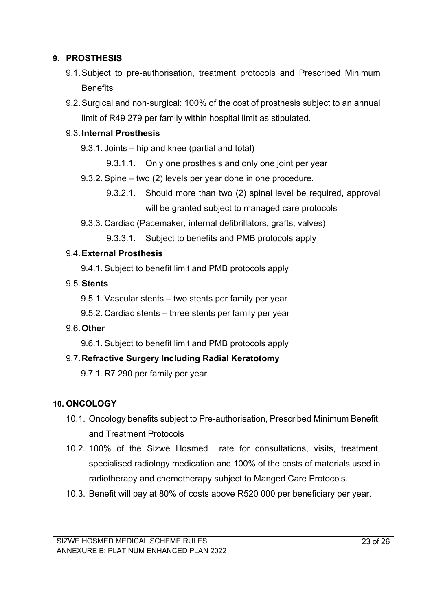#### **9. PROSTHESIS**

- 9.1.Subject to pre-authorisation, treatment protocols and Prescribed Minimum **Benefits**
- 9.2.Surgical and non-surgical: 100% of the cost of prosthesis subject to an annual limit of R49 279 per family within hospital limit as stipulated.

#### 9.3.**Internal Prosthesis**

9.3.1. Joints – hip and knee (partial and total)

- 9.3.1.1. Only one prosthesis and only one joint per year
- 9.3.2. Spine two (2) levels per year done in one procedure.
	- 9.3.2.1. Should more than two (2) spinal level be required, approval will be granted subject to managed care protocols
- 9.3.3. Cardiac (Pacemaker, internal defibrillators, grafts, valves)

9.3.3.1. Subject to benefits and PMB protocols apply

#### 9.4.**External Prosthesis**

9.4.1. Subject to benefit limit and PMB protocols apply

#### 9.5.**Stents**

9.5.1. Vascular stents – two stents per family per year

9.5.2. Cardiac stents – three stents per family per year

### 9.6.**Other**

9.6.1. Subject to benefit limit and PMB protocols apply

### 9.7.**Refractive Surgery Including Radial Keratotomy**

9.7.1. R7 290 per family per year

### **10. ONCOLOGY**

- 10.1. Oncology benefits subject to Pre-authorisation, Prescribed Minimum Benefit, and Treatment Protocols
- 10.2. 100% of the Sizwe Hosmed rate for consultations, visits, treatment, specialised radiology medication and 100% of the costs of materials used in radiotherapy and chemotherapy subject to Manged Care Protocols.
- 10.3. Benefit will pay at 80% of costs above R520 000 per beneficiary per year.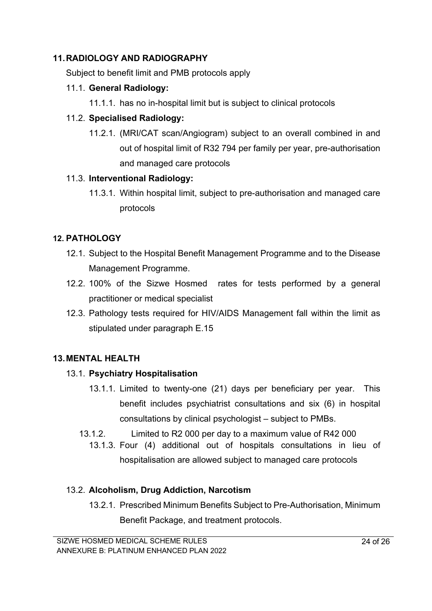### **11.RADIOLOGY AND RADIOGRAPHY**

Subject to benefit limit and PMB protocols apply

#### 11.1. **General Radiology:**

11.1.1. has no in-hospital limit but is subject to clinical protocols

#### 11.2. **Specialised Radiology:**

11.2.1. (MRI/CAT scan/Angiogram) subject to an overall combined in and out of hospital limit of R32 794 per family per year, pre-authorisation and managed care protocols

#### 11.3. **Interventional Radiology:**

11.3.1. Within hospital limit, subject to pre-authorisation and managed care protocols

### **12. PATHOLOGY**

- 12.1. Subject to the Hospital Benefit Management Programme and to the Disease Management Programme.
- 12.2. 100% of the Sizwe Hosmed rates for tests performed by a general practitioner or medical specialist
- 12.3. Pathology tests required for HIV/AIDS Management fall within the limit as stipulated under paragraph E.15

### **13.MENTAL HEALTH**

### 13.1. **Psychiatry Hospitalisation**

- 13.1.1. Limited to twenty-one (21) days per beneficiary per year. This benefit includes psychiatrist consultations and six (6) in hospital consultations by clinical psychologist – subject to PMBs.
- 13.1.2. Limited to R2 000 per day to a maximum value of R42 000
	- 13.1.3. Four (4) additional out of hospitals consultations in lieu of hospitalisation are allowed subject to managed care protocols

### 13.2. **Alcoholism, Drug Addiction, Narcotism**

13.2.1. Prescribed Minimum Benefits Subject to Pre-Authorisation, Minimum Benefit Package, and treatment protocols.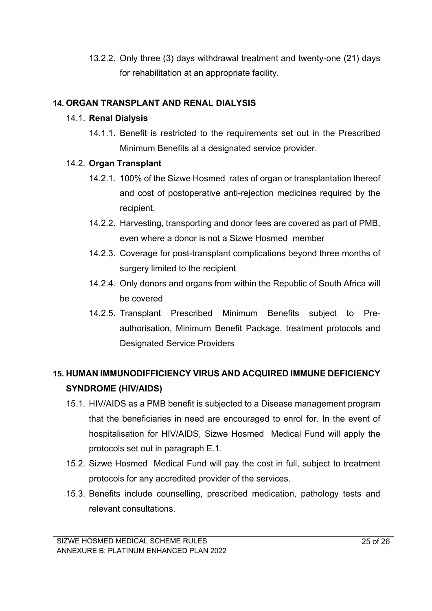13.2.2. Only three (3) days withdrawal treatment and twenty-one (21) days for rehabilitation at an appropriate facility.

### **14. ORGAN TRANSPLANT AND RENAL DIALYSIS**

#### 14.1. **Renal Dialysis**

14.1.1. Benefit is restricted to the requirements set out in the Prescribed Minimum Benefits at a designated service provider.

### 14.2. **Organ Transplant**

- 14.2.1. 100% of the Sizwe Hosmed rates of organ or transplantation thereof and cost of postoperative anti-rejection medicines required by the recipient.
- 14.2.2. Harvesting, transporting and donor fees are covered as part of PMB, even where a donor is not a Sizwe Hosmed member
- 14.2.3. Coverage for post-transplant complications beyond three months of surgery limited to the recipient
- 14.2.4. Only donors and organs from within the Republic of South Africa will be covered
- 14.2.5. Transplant Prescribed Minimum Benefits subject to Preauthorisation, Minimum Benefit Package, treatment protocols and Designated Service Providers

# **15. HUMAN IMMUNODIFFICIENCY VIRUS AND ACQUIRED IMMUNE DEFICIENCY SYNDROME (HIV/AIDS)**

- 15.1. HIV/AIDS as a PMB benefit is subjected to a Disease management program that the beneficiaries in need are encouraged to enrol for. In the event of hospitalisation for HIV/AIDS, Sizwe Hosmed Medical Fund will apply the protocols set out in paragraph E.1.
- 15.2. Sizwe Hosmed Medical Fund will pay the cost in full, subject to treatment protocols for any accredited provider of the services.
- 15.3. Benefits include counselling, prescribed medication, pathology tests and relevant consultations.